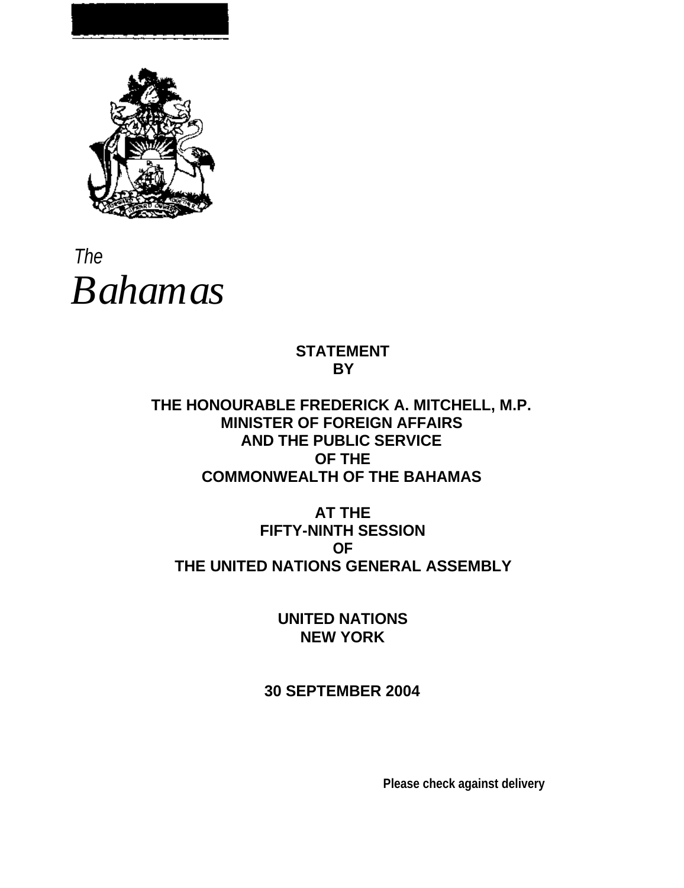

The *Bahamas*

# **STATEMENT BY**

**THE HONOURABLE FREDERICK A. MITCHELL, M.P. MINISTER OF FOREIGN AFFAIRS AND THE PUBLIC SERVICE OF THE COMMONWEALTH OF THE BAHAMAS**

**AT THE FIFTY-NINTH SESSION OF THE UNITED NATIONS GENERAL ASSEMBLY**

> **UNITED NATIONS NEW YORK**

**30 SEPTEMBER 2004**

**Please check against delivery**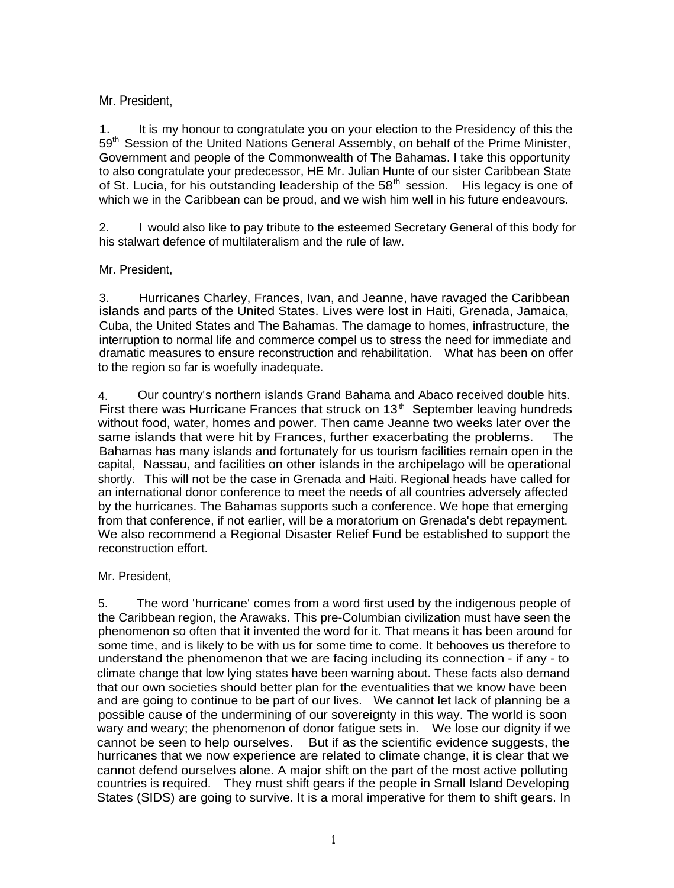# Mr. President,

1. It is my honour to congratulate you on your election to the Presidency of this the 59<sup>th</sup> Session of the United Nations General Assembly, on behalf of the Prime Minister, Government and people of the Commonwealth of The Bahamas. I take this opportunity to also congratulate your predecessor, HE Mr. Julian Hunte of our sister Caribbean State of St. Lucia, for his outstanding leadership of the  $58<sup>th</sup>$  session. His legacy is one of which we in the Caribbean can be proud, and we wish him well in his future endeavours.

2. I would also like to pay tribute to the esteemed Secretary General of this body for his stalwart defence of multilateralism and the rule of law.

# Mr. President,

3. Hurricanes Charley, Frances, Ivan, and Jeanne, have ravaged the Caribbean islands and parts of the United States. Lives were lost in Haiti, Grenada, Jamaica, Cuba, the United States and The Bahamas. The damage to homes, infrastructure, the interruption to normal life and commerce compel us to stress the need for immediate and dramatic measures to ensure reconstruction and rehabilitation. What has been on offer to the region so far is woefully inadequate.

4. Our country's northern islands Grand Bahama and Abaco received double hits. First there was Hurricane Frances that struck on  $13<sup>th</sup>$  September leaving hundreds without food, water, homes and power. Then came Jeanne two weeks later over the same islands that were hit by Frances, further exacerbating the problems. The Bahamas has many islands and fortunately for us tourism facilities remain open in the capital, Nassau, and facilities on other islands in the archipelago will be operational shortly. This will not be the case in Grenada and Haiti. Regional heads have called for an international donor conference to meet the needs of all countries adversely affected by the hurricanes. The Bahamas supports such a conference. We hope that emerging from that conference, if not earlier, will be a moratorium on Grenada's debt repayment. We also recommend a Regional Disaster Relief Fund be established to support the reconstruction effort.

## Mr. President,

5. The word 'hurricane' comes from a word first used by the indigenous people of the Caribbean region, the Arawaks. This pre-Columbian civilization must have seen the phenomenon so often that it invented the word for it. That means it has been around for some time, and is likely to be with us for some time to come. It behooves us therefore to understand the phenomenon that we are facing including its connection - if any - to climate change that low lying states have been warning about. These facts also demand that our own societies should better plan for the eventualities that we know have been and are going to continue to be part of our lives. We cannot let lack of planning be a possible cause of the undermining of our sovereignty in this way. The world is soon wary and weary; the phenomenon of donor fatigue sets in. We lose our dignity if we cannot be seen to help ourselves. But if as the scientific evidence suggests, the hurricanes that we now experience are related to climate change, it is clear that we cannot defend ourselves alone. A major shift on the part of the most active polluting countries is required. They must shift gears if the people in Small Island Developing States (SIDS) are going to survive. It is a moral imperative for them to shift gears. In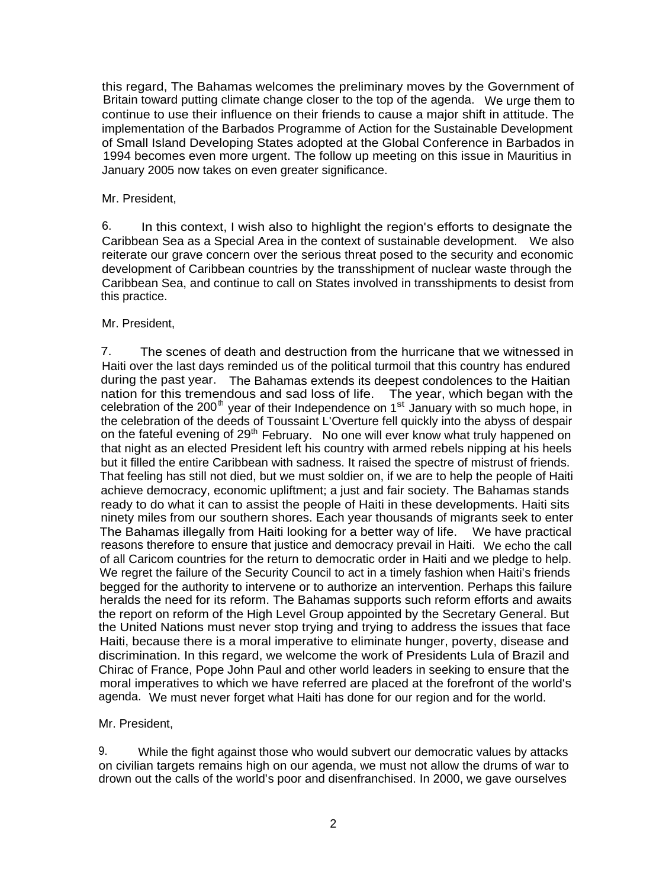this regard, The Bahamas welcomes the preliminary moves by the Government of Britain toward putting climate change closer to the top of the agenda. We urge them to continue to use their influence on their friends to cause a major shift in attitude. The implementation of the Barbados Programme of Action for the Sustainable Development of Small Island Developing States adopted at the Global Conference in Barbados in 1994 becomes even more urgent. The follow up meeting on this issue in Mauritius in January 2005 now takes on even greater significance.

#### Mr. President,

6. In this context, I wish also to highlight the region's efforts to designate the Caribbean Sea as a Special Area in the context of sustainable development. We also reiterate our grave concern over the serious threat posed to the security and economic development of Caribbean countries by the transshipment of nuclear waste through the Caribbean Sea, and continue to call on States involved in transshipments to desist from this practice.

### Mr. President,

7. The scenes of death and destruction from the hurricane that we witnessed in Haiti over the last days reminded us of the political turmoil that this country has endured during the past year. The Bahamas extends its deepest condolences to the Haitian nation for this tremendous and sad loss of life. The year, which began with the celebration of the 200<sup>th</sup> year of their Independence on 1<sup>st</sup> January with so much hope, in the celebration of the deeds of Toussaint L'Overture fell quickly into the abyss of despair on the fateful evening of 29<sup>th</sup> February. No one will ever know what truly happened on that night as an elected President left his country with armed rebels nipping at his heels but it filled the entire Caribbean with sadness. It raised the spectre of mistrust of friends. That feeling has still not died, but we must soldier on, if we are to help the people of Haiti achieve democracy, economic upliftment; a just and fair society. The Bahamas stands ready to do what it can to assist the people of Haiti in these developments. Haiti sits ninety miles from our southern shores. Each year thousands of migrants seek to enter The Bahamas illegally from Haiti looking for a better way of life. We have practical reasons therefore to ensure that justice and democracy prevail in Haiti. We echo the call of all Caricom countries for the return to democratic order in Haiti and we pledge to help. We regret the failure of the Security Council to act in a timely fashion when Haiti's friends begged for the authority to intervene or to authorize an intervention. Perhaps this failure heralds the need for its reform. The Bahamas supports such reform efforts and awaits the report on reform of the High Level Group appointed by the Secretary General. But the United Nations must never stop trying and trying to address the issues that face Haiti, because there is a moral imperative to eliminate hunger, poverty, disease and discrimination. In this regard, we welcome the work of Presidents Lula of Brazil and Chirac of France, Pope John Paul and other world leaders in seeking to ensure that the moral imperatives to which we have referred are placed at the forefront of the world's agenda. We must never forget what Haiti has done for our region and for the world.

#### Mr. President,

9. While the fight against those who would subvert our democratic values by attacks on civilian targets remains high on our agenda, we must not allow the drums of war to drown out the calls of the world's poor and disenfranchised. In 2000, we gave ourselves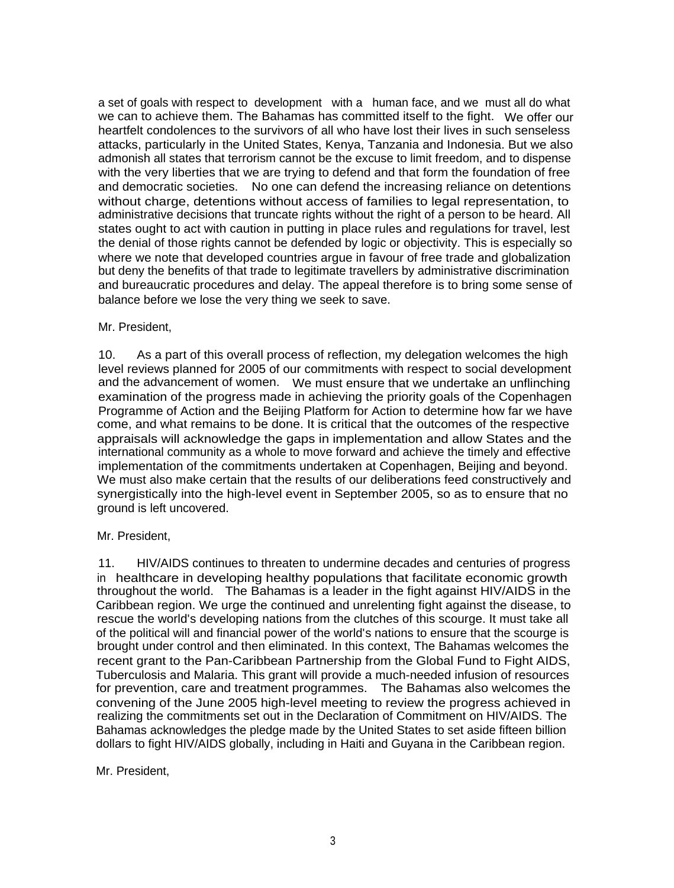a set of goals with respect to development with a human face, and we must all do what we can to achieve them. The Bahamas has committed itself to the fight. We offer our heartfelt condolences to the survivors of all who have lost their lives in such senseless attacks, particularly in the United States, Kenya, Tanzania and Indonesia. But we also admonish all states that terrorism cannot be the excuse to limit freedom, and to dispense with the very liberties that we are trying to defend and that form the foundation of free and democratic societies. No one can defend the increasing reliance on detentions without charge, detentions without access of families to legal representation, to administrative decisions that truncate rights without the right of a person to be heard. All states ought to act with caution in putting in place rules and regulations for travel, lest the denial of those rights cannot be defended by logic or objectivity. This is especially so where we note that developed countries argue in favour of free trade and globalization but deny the benefits of that trade to legitimate travellers by administrative discrimination and bureaucratic procedures and delay. The appeal therefore is to bring some sense of balance before we lose the very thing we seek to save.

### Mr. President,

10. As a part of this overall process of reflection, my delegation welcomes the high level reviews planned for 2005 of our commitments with respect to social development and the advancement of women. We must ensure that we undertake an unflinching examination of the progress made in achieving the priority goals of the Copenhagen Programme of Action and the Beijing Platform for Action to determine how far we have come, and what remains to be done. It is critical that the outcomes of the respective appraisals will acknowledge the gaps in implementation and allow States and the international community as a whole to move forward and achieve the timely and effective implementation of the commitments undertaken at Copenhagen, Beijing and beyond. We must also make certain that the results of our deliberations feed constructively and synergistically into the high-level event in September 2005, so as to ensure that no ground is left uncovered.

#### Mr. President,

11. HIV/AIDS continues to threaten to undermine decades and centuries of progress in healthcare in developing healthy populations that facilitate economic growth throughout the world. The Bahamas is a leader in the fight against HIV/AIDS in the Caribbean region. We urge the continued and unrelenting fight against the disease, to rescue the world's developing nations from the clutches of this scourge. It must take all of the political will and financial power of the world's nations to ensure that the scourge is brought under control and then eliminated. In this context, The Bahamas welcomes the recent grant to the Pan-Caribbean Partnership from the Global Fund to Fight AIDS, Tuberculosis and Malaria. This grant will provide a much-needed infusion of resources for prevention, care and treatment programmes. The Bahamas also welcomes the convening of the June 2005 high-level meeting to review the progress achieved in realizing the commitments set out in the Declaration of Commitment on HIV/AIDS. The Bahamas acknowledges the pledge made by the United States to set aside fifteen billion dollars to fight HIV/AIDS globally, including in Haiti and Guyana in the Caribbean region.

## Mr. President,